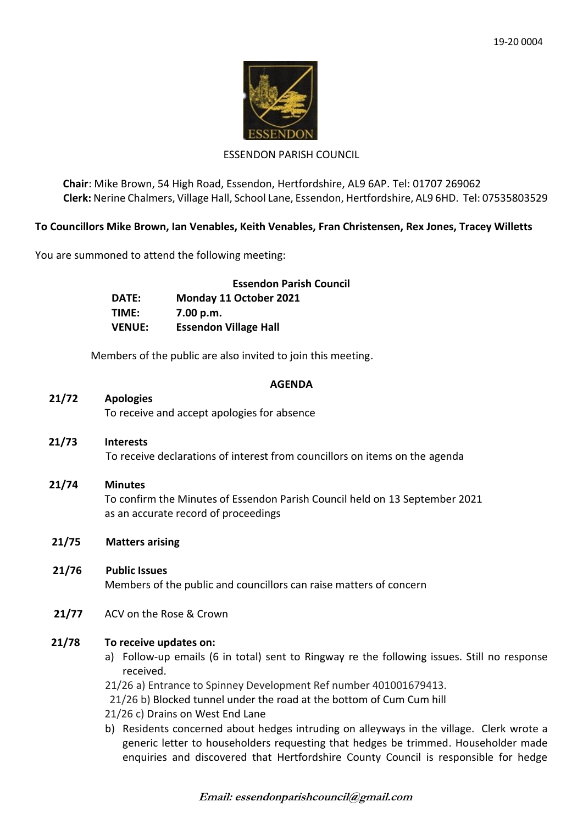

## ESSENDON PARISH COUNCIL

**Chair**: Mike Brown, 54 High Road, Essendon, Hertfordshire, AL9 6AP. Tel: 01707 269062 **Clerk:** Nerine Chalmers, Village Hall, School Lane, Essendon, Hertfordshire, AL9 6HD. Tel: 07535803529

# **To Councillors Mike Brown, Ian Venables, Keith Venables, Fran Christensen, Rex Jones, Tracey Willetts**

You are summoned to attend the following meeting:

|               | <b>Essendon Parish Council</b> |
|---------------|--------------------------------|
| DATE:         | Monday 11 October 2021         |
| TIME:         | 7.00 p.m.                      |
| <b>VENUE:</b> | <b>Essendon Village Hall</b>   |

Members of the public are also invited to join this meeting.

### **AGENDA**

# **21/72 Apologies**

To receive and accept apologies for absence

- **21/73 Interests** To receive declarations of interest from councillors on items on the agenda
- **21/74 Minutes** To confirm the Minutes of Essendon Parish Council held on 13 September 2021 as an accurate record of proceedings
- **21/75 Matters arising**
- **21/76 Public Issues** Members of the public and councillors can raise matters of concern
- **21/77** ACV on the Rose & Crown

# **21/78 To receive updates on:**

- a) Follow-up emails (6 in total) sent to Ringway re the following issues. Still no response received.
- 21/26 a) Entrance to Spinney Development Ref number 401001679413.
- 21/26 b) Blocked tunnel under the road at the bottom of Cum Cum hill
- 21/26 c) Drains on West End Lane
- b) Residents concerned about hedges intruding on alleyways in the village. Clerk wrote a generic letter to householders requesting that hedges be trimmed. Householder made enquiries and discovered that Hertfordshire County Council is responsible for hedge

**Email: essendonparishcouncil@gmail.com**